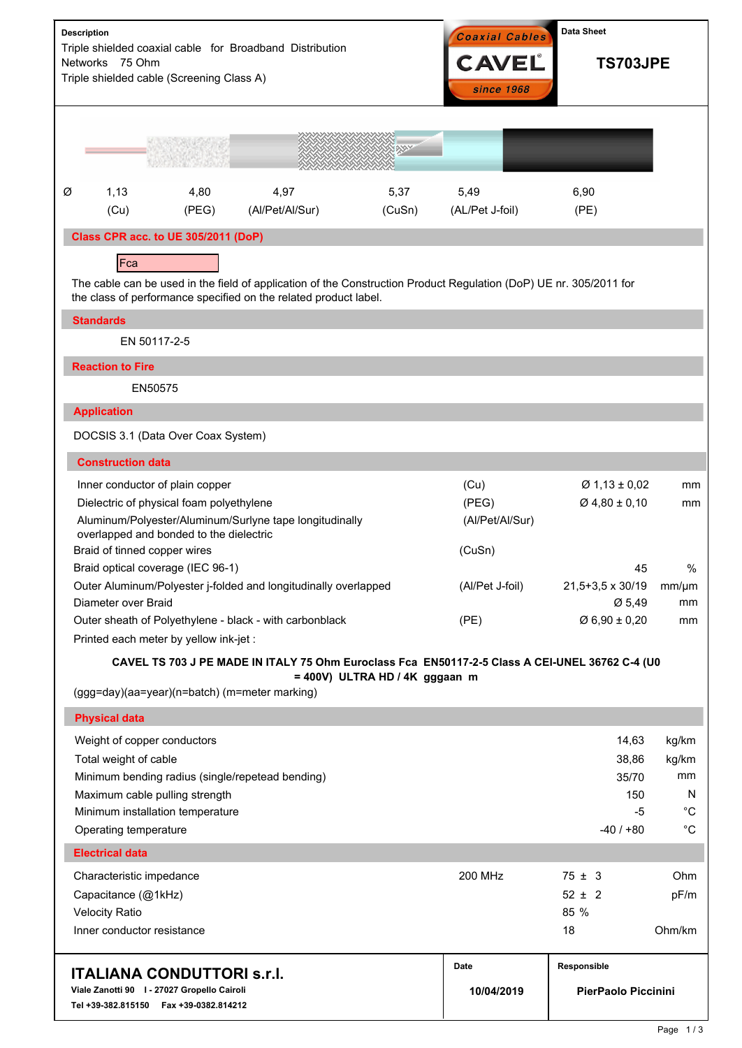| <b>Description</b><br>Triple shielded coaxial cable for Broadband Distribution<br>Networks 75 Ohm<br>Triple shielded cable (Screening Class A)                                         |                                                                    |                                           |                                                                 |                | <b>Coaxial Cables</b><br><b>CAVEL</b><br>since 1968 | <b>Data Sheet</b><br><b>TS703JPE</b> |                  |  |
|----------------------------------------------------------------------------------------------------------------------------------------------------------------------------------------|--------------------------------------------------------------------|-------------------------------------------|-----------------------------------------------------------------|----------------|-----------------------------------------------------|--------------------------------------|------------------|--|
|                                                                                                                                                                                        |                                                                    |                                           |                                                                 | XXXX           |                                                     |                                      |                  |  |
| Ø                                                                                                                                                                                      | 1,13<br>(Cu)                                                       | 4,80<br>(PEG)                             | 4,97<br>(Al/Pet/Al/Sur)                                         | 5,37<br>(CuSn) | 5,49<br>(AL/Pet J-foil)                             | 6,90<br>(PE)                         |                  |  |
| Class CPR acc. to UE 305/2011 (DoP)                                                                                                                                                    |                                                                    |                                           |                                                                 |                |                                                     |                                      |                  |  |
| Fca                                                                                                                                                                                    |                                                                    |                                           |                                                                 |                |                                                     |                                      |                  |  |
| The cable can be used in the field of application of the Construction Product Regulation (DoP) UE nr. 305/2011 for<br>the class of performance specified on the related product label. |                                                                    |                                           |                                                                 |                |                                                     |                                      |                  |  |
| <b>Standards</b>                                                                                                                                                                       |                                                                    |                                           |                                                                 |                |                                                     |                                      |                  |  |
| EN 50117-2-5                                                                                                                                                                           |                                                                    |                                           |                                                                 |                |                                                     |                                      |                  |  |
|                                                                                                                                                                                        | <b>Reaction to Fire</b>                                            |                                           |                                                                 |                |                                                     |                                      |                  |  |
|                                                                                                                                                                                        | EN50575                                                            |                                           |                                                                 |                |                                                     |                                      |                  |  |
|                                                                                                                                                                                        | <b>Application</b>                                                 |                                           |                                                                 |                |                                                     |                                      |                  |  |
| DOCSIS 3.1 (Data Over Coax System)                                                                                                                                                     |                                                                    |                                           |                                                                 |                |                                                     |                                      |                  |  |
|                                                                                                                                                                                        | <b>Construction data</b>                                           |                                           |                                                                 |                |                                                     |                                      |                  |  |
|                                                                                                                                                                                        |                                                                    | Inner conductor of plain copper           |                                                                 |                | (Cu)                                                | $\varnothing$ 1,13 ± 0,02            | mm               |  |
|                                                                                                                                                                                        |                                                                    | Dielectric of physical foam polyethylene  |                                                                 |                | (PEG)                                               | $Ø$ 4,80 ± 0,10                      | mm               |  |
| Aluminum/Polyester/Aluminum/Surlyne tape longitudinally<br>overlapped and bonded to the dielectric                                                                                     |                                                                    |                                           |                                                                 |                | (Al/Pet/Al/Sur)                                     |                                      |                  |  |
|                                                                                                                                                                                        | Braid of tinned copper wires                                       |                                           |                                                                 |                | (CuSn)                                              |                                      |                  |  |
|                                                                                                                                                                                        |                                                                    | Braid optical coverage (IEC 96-1)         |                                                                 |                |                                                     | 45                                   | $\%$             |  |
|                                                                                                                                                                                        | Diameter over Braid                                                |                                           | Outer Aluminum/Polyester j-folded and longitudinally overlapped |                | (Al/Pet J-foil)                                     | 21,5+3,5 x 30/19<br>Ø 5,49           | $mm/\mu m$<br>mm |  |
|                                                                                                                                                                                        |                                                                    |                                           | Outer sheath of Polyethylene - black - with carbonblack         |                | (PE)                                                | $\varnothing$ 6,90 ± 0,20            | mm               |  |
| Printed each meter by yellow ink-jet :                                                                                                                                                 |                                                                    |                                           |                                                                 |                |                                                     |                                      |                  |  |
| CAVEL TS 703 J PE MADE IN ITALY 75 Ohm Euroclass Fca EN50117-2-5 Class A CEI-UNEL 36762 C-4 (U0                                                                                        |                                                                    |                                           |                                                                 |                |                                                     |                                      |                  |  |
| = 400V) ULTRA HD / 4K gggaan m<br>(ggg=day)(aa=year)(n=batch) (m=meter marking)                                                                                                        |                                                                    |                                           |                                                                 |                |                                                     |                                      |                  |  |
|                                                                                                                                                                                        | <b>Physical data</b>                                               |                                           |                                                                 |                |                                                     |                                      |                  |  |
|                                                                                                                                                                                        | Weight of copper conductors                                        |                                           |                                                                 |                |                                                     | 14,63                                | kg/km            |  |
|                                                                                                                                                                                        | Total weight of cable                                              |                                           |                                                                 |                |                                                     | 38,86                                | kg/km            |  |
|                                                                                                                                                                                        |                                                                    |                                           | Minimum bending radius (single/repetead bending)                |                |                                                     | 35/70<br>150                         | mm<br>N          |  |
|                                                                                                                                                                                        | Maximum cable pulling strength<br>Minimum installation temperature |                                           |                                                                 |                |                                                     | $-5$                                 | $^{\circ}C$      |  |
|                                                                                                                                                                                        | Operating temperature                                              |                                           |                                                                 |                |                                                     | $-40/+80$                            | $^{\circ}C$      |  |
|                                                                                                                                                                                        | <b>Electrical data</b>                                             |                                           |                                                                 |                |                                                     |                                      |                  |  |
|                                                                                                                                                                                        | Characteristic impedance                                           |                                           |                                                                 |                | <b>200 MHz</b>                                      | $75 \pm 3$                           | Ohm              |  |
|                                                                                                                                                                                        | Capacitance (@1kHz)                                                |                                           |                                                                 |                |                                                     | $52 \pm 2$<br>85 %                   | pF/m             |  |
|                                                                                                                                                                                        | <b>Velocity Ratio</b><br>Inner conductor resistance                |                                           |                                                                 |                |                                                     | 18                                   | Ohm/km           |  |
| <b>ITALIANA CONDUTTORI s.r.I.</b>                                                                                                                                                      |                                                                    |                                           |                                                                 |                | <b>Date</b>                                         | Responsible                          |                  |  |
| Viale Zanotti 90   - 27027 Gropello Cairoli                                                                                                                                            |                                                                    |                                           |                                                                 |                | 10/04/2019                                          | PierPaolo Piccinini                  |                  |  |
|                                                                                                                                                                                        |                                                                    | Tel +39-382.815150    Fax +39-0382.814212 |                                                                 |                |                                                     |                                      |                  |  |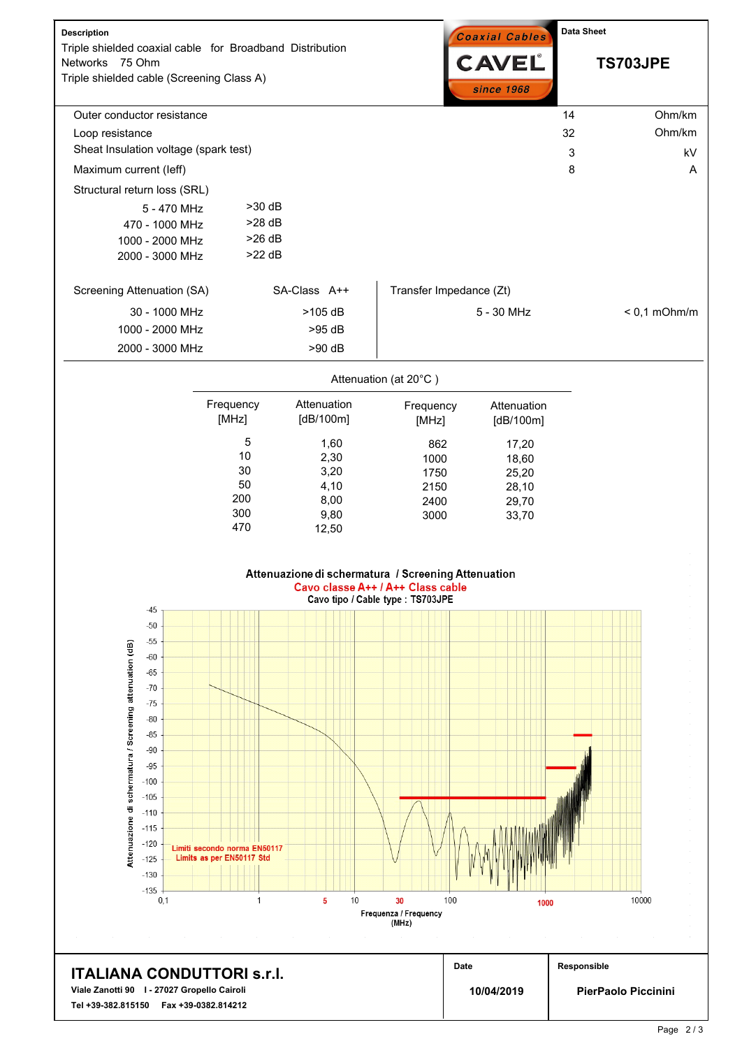